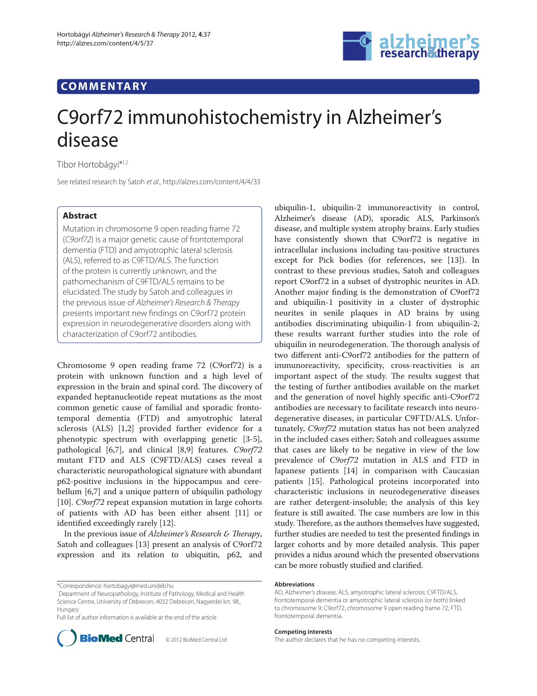## **COMMENTARY**



# C9orf72 immunohistochemistry in Alzheimer's disease

Tibor Hortobágyi\*1,2

See related research by Satoh et al., http://alzres.com/content/4/4/33

### **Abstract**

Mutation in chromosome 9 open reading frame 72 (C9orf72) is a major genetic cause of frontotemporal dementia (FTD) and amyotrophic lateral sclerosis (ALS), referred to as C9FTD/ALS. The function of the protein is currently unknown, and the pathomechanism of C9FTD/ALS remains to be elucidated. The study by Satoh and colleagues in the previous issue of Alzheimer's Research & Therapy presents important new findings on C9orf72 protein expression in neurodegenerative disorders along with characterization of C9orf72 antibodies.

Chromosome 9 open reading frame 72 (C9orf72) is a protein with unknown function and a high level of expression in the brain and spinal cord. The discovery of expanded heptanucleotide repeat mutations as the most common genetic cause of familial and sporadic frontotemporal dementia (FTD) and amyotrophic lateral sclerosis (ALS) [1,2] provided further evidence for a phenotypic spectrum with overlapping genetic [3-5], pathological [6,7], and clinical [8,9] features. *C9orf72* mutant FTD and ALS (C9FTD/ALS) cases reveal a characteristic neuropathological signature with abundant p62-positive inclusions in the hippocampus and cerebellum [6,7] and a unique pattern of ubiquilin pathology [10]. *C9orf72* repeat expansion mutation in large cohorts of patients with AD has been either absent [11] or identified exceedingly rarely [12].

In the previous issue of *Alzheimer's Research & Therapy*, Satoh and colleagues [13] present an analysis of C9orf72 expression and its relation to ubiquitin, p62, and

1 Department of Neuropathology, Institute of Pathology, Medical and Health Science Centre, University of Debrecen, 4032 Debrecen, Nagyerdei krt. 98., Hungary

Full list of author information is available at the end of the article



© 2012 BioMed Central Ltd

ubiquilin-1, ubiquilin-2 immuno reactivity in control, Alzheimer's disease (AD), sporadic ALS, Parkinson's disease, and multiple system atrophy brains. Early studies have consistently shown that C9orf72 is negative in intracellular inclusions including tau-positive structures except for Pick bodies (for references, see [13]). In contrast to these previous studies, Satoh and colleagues report C9orf72 in a subset of dystrophic neurites in AD. Another major finding is the demonstration of C9orf72 and ubiquilin-1 positivity in a cluster of dystrophic neurites in senile plaques in AD brains by using antibodies discriminating ubiquilin-1 from ubiquilin-2; these results warrant further studies into the role of ubiquilin in neurodegeneration. The thorough analysis of two different anti-C9orf72 antibodies for the pattern of immuno reactivity, specificity, cross-reactivities is an important aspect of the study. The results suggest that the testing of further antibodies available on the market and the generation of novel highly specific anti-C9orf72 antibodies are necessary to facilitate research into neurodegenerative diseases, in particular C9FTD/ALS. Unfortunately, *C9orf72* mutation status has not been analyzed in the included cases either; Satoh and colleagues assume that cases are likely to be negative in view of the low prevalence of *C9orf72* mutation in ALS and FTD in Japanese patients [14] in comparison with Caucasian patients [15]. Pathological proteins incorporated into characteristic inclusions in neurodegenerative diseases are rather detergent-insoluble; the analysis of this key feature is still awaited. The case numbers are low in this study. Therefore, as the authors themselves have suggested, further studies are needed to test the presented findings in larger cohorts and by more detailed analysis. This paper provides a nidus around which the presented observations can be more robustly studied and clarified.

#### **Abbreviations**

#### **Competing interests**

The author declares that he has no competing interests.

<sup>\*</sup>Correspondence: hortobagyi@med.unideb.hu

AD, Alzheimer's disease; ALS, amyotrophic lateral sclerosis; C9FTD/ALS, frontotemporal dementia or amyotrophic lateral sclerosis (or both) linked to chromosome 9; C9orf72, chromosome 9 open reading frame 72; FTD, frontotemporal dementia.